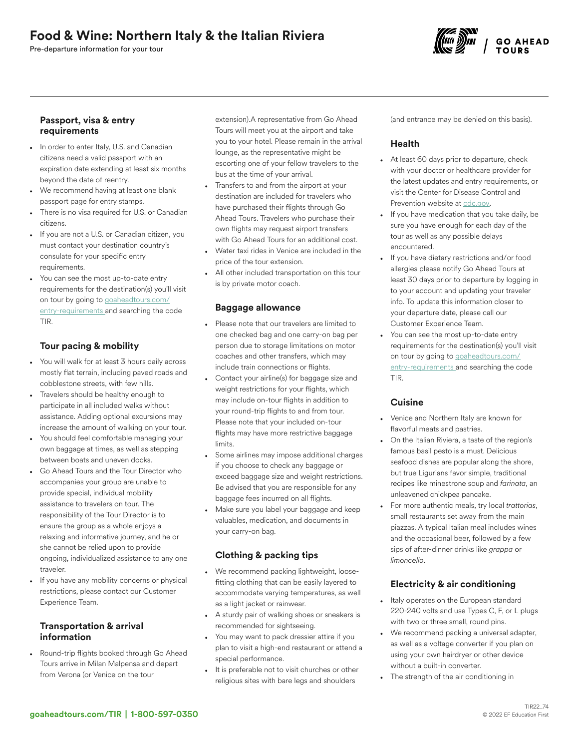# Food & Wine: Northern Italy & the Italian Riviera

Pre-departure information for your tour



#### Passport, visa & entry requirements

- In order to enter Italy, U.S. and Canadian citizens need a valid passport with an expiration date extending at least six months beyond the date of reentry.
- We recommend having at least one blank passport page for entry stamps.
- There is no visa required for U.S. or Canadian citizens.
- If you are not a U.S. or Canadian citizen, you must contact your destination country's consulate for your specific entry requirements.
- You can see the most up-to-date entry requirements for the destination(s) you'll visit on tour by going to [goaheadtours.com/](/entry-requirements?tourCode=TIR) [entry-requirements](/entry-requirements?tourCode=TIR) and searching the code TIR.

## Tour pacing & mobility

- You will walk for at least 3 hours daily across mostly flat terrain, including paved roads and cobblestone streets, with few hills.
- Travelers should be healthy enough to participate in all included walks without assistance. Adding optional excursions may increase the amount of walking on your tour.
- You should feel comfortable managing your own baggage at times, as well as stepping between boats and uneven docks.
- Go Ahead Tours and the Tour Director who accompanies your group are unable to provide special, individual mobility assistance to travelers on tour. The responsibility of the Tour Director is to ensure the group as a whole enjoys a relaxing and informative journey, and he or she cannot be relied upon to provide ongoing, individualized assistance to any one traveler.
- If you have any mobility concerns or physical restrictions, please contact our Customer Experience Team.

## Transportation & arrival information

• Round-trip flights booked through Go Ahead Tours arrive in Milan Malpensa and depart from Verona (or Venice on the tour

extension).A representative from Go Ahead Tours will meet you at the airport and take you to your hotel. Please remain in the arrival lounge, as the representative might be escorting one of your fellow travelers to the bus at the time of your arrival.

- Transfers to and from the airport at your destination are included for travelers who have purchased their flights through Go Ahead Tours. Travelers who purchase their own flights may request airport transfers with Go Ahead Tours for an additional cost.
- Water taxi rides in Venice are included in the price of the tour extension.
- All other included transportation on this tour is by private motor coach.

## Baggage allowance

- Please note that our travelers are limited to one checked bag and one carry-on bag per person due to storage limitations on motor coaches and other transfers, which may include train connections or flights.
- Contact your airline(s) for baggage size and weight restrictions for your flights, which may include on-tour flights in addition to your round-trip flights to and from tour. Please note that your included on-tour flights may have more restrictive baggage limits.
- Some airlines may impose additional charges if you choose to check any baggage or exceed baggage size and weight restrictions. Be advised that you are responsible for any baggage fees incurred on all flights.
- Make sure you label your baggage and keep valuables, medication, and documents in your carry-on bag.

## Clothing & packing tips

- We recommend packing lightweight, loosefitting clothing that can be easily layered to accommodate varying temperatures, as well as a light jacket or rainwear.
- A sturdy pair of walking shoes or sneakers is recommended for sightseeing.
- You may want to pack dressier attire if you plan to visit a high-end restaurant or attend a special performance.
- It is preferable not to visit churches or other religious sites with bare legs and shoulders

(and entrance may be denied on this basis).

## Health

- At least 60 days prior to departure, check with your doctor or healthcare provider for the latest updates and entry requirements, or visit the Center for Disease Control and Prevention website at [cdc.gov.](https://www.cdc.gov/)
- If you have medication that you take daily, be sure you have enough for each day of the tour as well as any possible delays encountered.
- If you have dietary restrictions and/or food allergies please notify Go Ahead Tours at least 30 days prior to departure by logging in to your account and updating your traveler info. To update this information closer to your departure date, please call our Customer Experience Team.
- You can see the most up-to-date entry requirements for the destination(s) you'll visit on tour by going to [goaheadtours.com/](/entry-requirements?tourCode=TIR) [entry-requirements](/entry-requirements?tourCode=TIR) and searching the code TIR.

## **Cuisine**

- Venice and Northern Italy are known for flavorful meats and pastries.
- On the Italian Riviera, a taste of the region's famous basil pesto is a must. Delicious seafood dishes are popular along the shore, but true Ligurians favor simple, traditional recipes like minestrone soup and *farinata*, an unleavened chickpea pancake.
- For more authentic meals, try local *trattorias*, small restaurants set away from the main piazzas. A typical Italian meal includes wines and the occasional beer, followed by a few sips of after-dinner drinks like *grappa* or *limoncello*.

## Electricity & air conditioning

- Italy operates on the European standard 220-240 volts and use Types C, F, or L plugs with two or three small, round pins.
- We recommend packing a universal adapter, as well as a voltage converter if you plan on using your own hairdryer or other device without a built-in converter.
- The strength of the air conditioning in